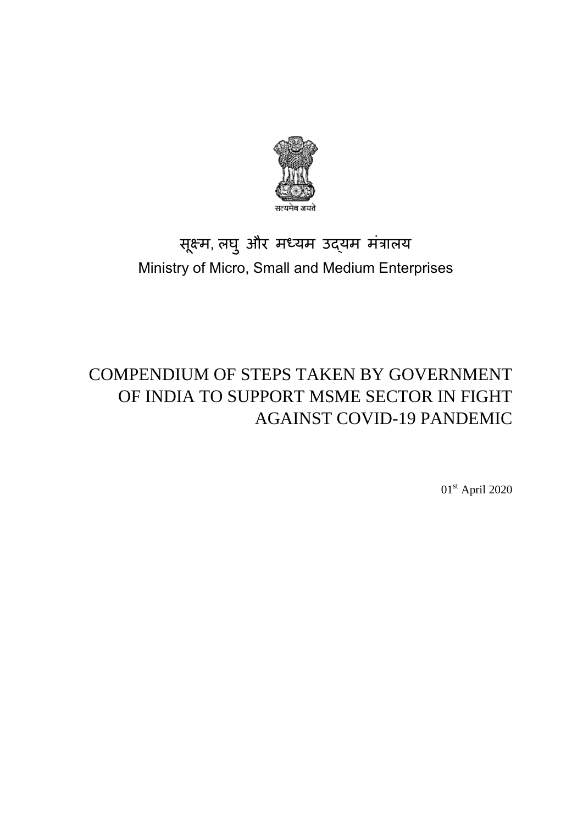

# सूक्ष्म, लघ ु और मध्यम उद्यम मंत्रालय Ministry of Micro, Small and Medium Enterprises

# COMPENDIUM OF STEPS TAKEN BY GOVERNMENT OF INDIA TO SUPPORT MSME SECTOR IN FIGHT AGAINST COVID-19 PANDEMIC

01st April 2020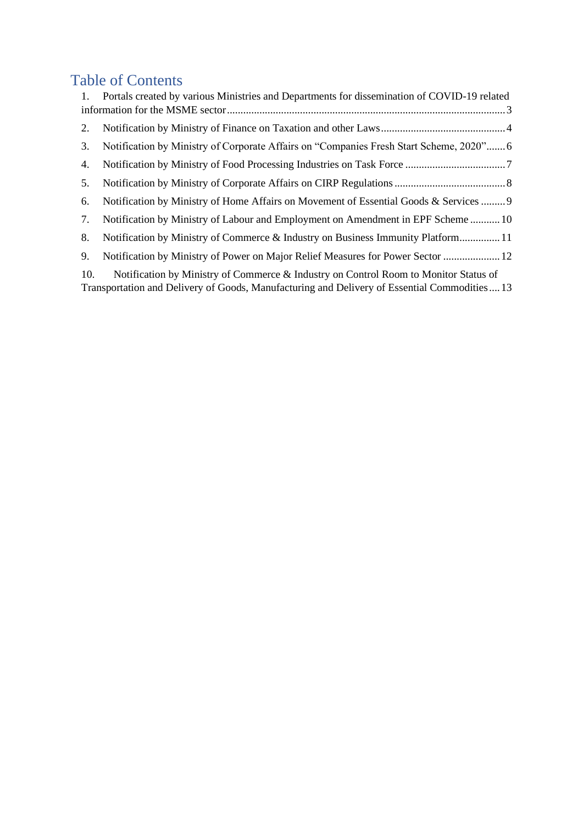# Table of Contents

| 1.  | Portals created by various Ministries and Departments for dissemination of COVID-19 related                                                                                          |
|-----|--------------------------------------------------------------------------------------------------------------------------------------------------------------------------------------|
|     |                                                                                                                                                                                      |
| 2.  |                                                                                                                                                                                      |
| 3.  | Notification by Ministry of Corporate Affairs on "Companies Fresh Start Scheme, 2020" 6                                                                                              |
| 4.  |                                                                                                                                                                                      |
| 5.  |                                                                                                                                                                                      |
| 6.  | Notification by Ministry of Home Affairs on Movement of Essential Goods & Services  9                                                                                                |
| 7.  | Notification by Ministry of Labour and Employment on Amendment in EPF Scheme  10                                                                                                     |
| 8.  | Notification by Ministry of Commerce & Industry on Business Immunity Platform 11                                                                                                     |
| 9.  | Notification by Ministry of Power on Major Relief Measures for Power Sector  12                                                                                                      |
| 10. | Notification by Ministry of Commerce & Industry on Control Room to Monitor Status of<br>Transportation and Delivery of Goods, Manufacturing and Delivery of Essential Commodities 13 |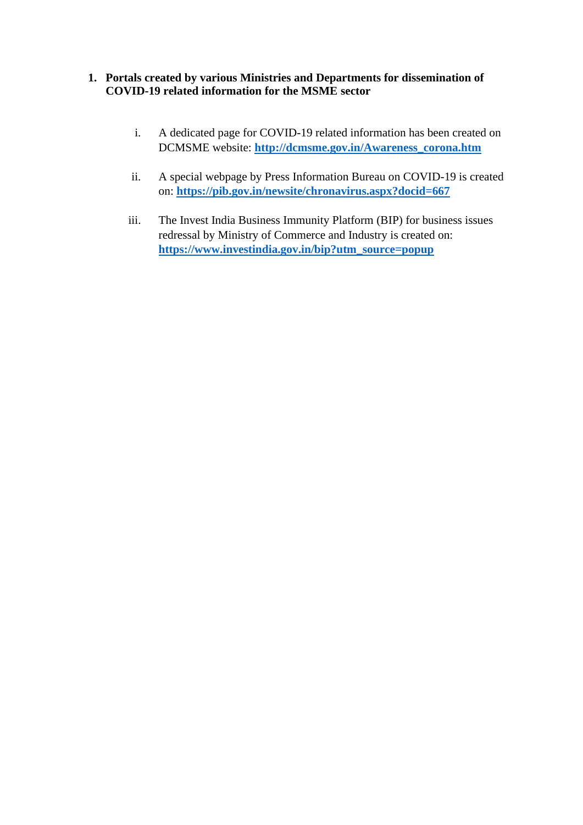#### <span id="page-2-0"></span>**1. Portals created by various Ministries and Departments for dissemination of COVID-19 related information for the MSME sector**

- i. A dedicated page for COVID-19 related information has been created on DCMSME website: **[http://dcmsme.gov.in/Awareness\\_corona.htm](http://dcmsme.gov.in/Awareness_corona.htm)**
- ii. A special webpage by Press Information Bureau on COVID-19 is created on: **<https://pib.gov.in/newsite/chronavirus.aspx?docid=667>**
- iii. The Invest India Business Immunity Platform (BIP) for business issues redressal by Ministry of Commerce and Industry is created on: **[https://www.investindia.gov.in/bip?utm\\_source=popup](https://www.investindia.gov.in/bip?utm_source=popup)**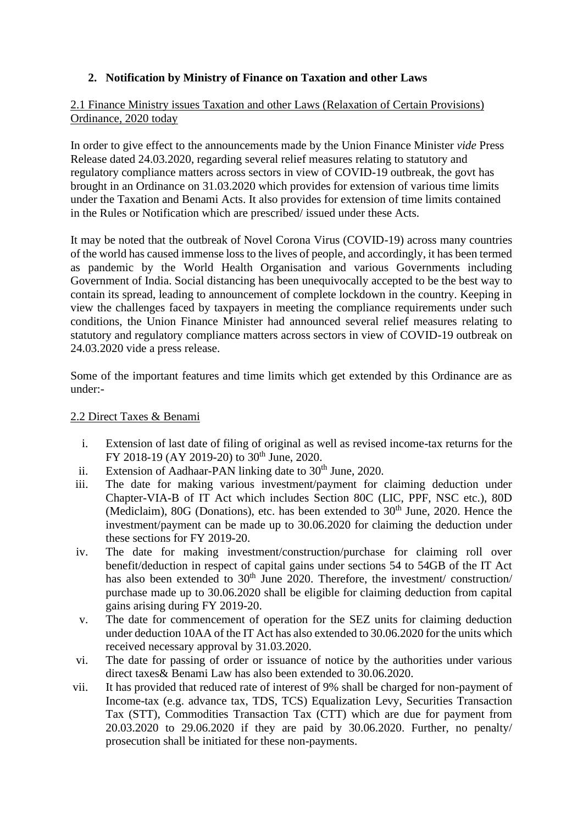## <span id="page-3-0"></span>**2. Notification by Ministry of Finance on Taxation and other Laws**

#### 2.1 Finance Ministry issues Taxation and other Laws (Relaxation of Certain Provisions) Ordinance, 2020 today

In order to give effect to the announcements made by the Union Finance Minister *vide* Press Release dated 24.03.2020, regarding several relief measures relating to statutory and regulatory compliance matters across sectors in view of COVID-19 outbreak, the govt has brought in an Ordinance on 31.03.2020 which provides for extension of various time limits under the Taxation and Benami Acts. It also provides for extension of time limits contained in the Rules or Notification which are prescribed/ issued under these Acts.

It may be noted that the outbreak of Novel Corona Virus (COVID-19) across many countries of the world has caused immense loss to the lives of people, and accordingly, it has been termed as pandemic by the World Health Organisation and various Governments including Government of India. Social distancing has been unequivocally accepted to be the best way to contain its spread, leading to announcement of complete lockdown in the country. Keeping in view the challenges faced by taxpayers in meeting the compliance requirements under such conditions, the Union Finance Minister had announced several relief measures relating to statutory and regulatory compliance matters across sectors in view of COVID-19 outbreak on 24.03.2020 vide a press release.

Some of the important features and time limits which get extended by this Ordinance are as under:-

#### 2.2 Direct Taxes & Benami

- i. Extension of last date of filing of original as well as revised income-tax returns for the FY 2018-19 (AY 2019-20) to 30<sup>th</sup> June, 2020.
- ii. Extension of Aadhaar-PAN linking date to  $30<sup>th</sup>$  June, 2020.
- iii. The date for making various investment/payment for claiming deduction under Chapter-VIA-B of IT Act which includes Section 80C (LIC, PPF, NSC etc.), 80D (Mediclaim),  $80G$  (Donations), etc. has been extended to  $30<sup>th</sup>$  June, 2020. Hence the investment/payment can be made up to 30.06.2020 for claiming the deduction under these sections for FY 2019-20.
- iv. The date for making investment/construction/purchase for claiming roll over benefit/deduction in respect of capital gains under sections 54 to 54GB of the IT Act has also been extended to  $30<sup>th</sup>$  June 2020. Therefore, the investment/ construction/ purchase made up to 30.06.2020 shall be eligible for claiming deduction from capital gains arising during FY 2019-20.
- v. The date for commencement of operation for the SEZ units for claiming deduction under deduction 10AA of the IT Act has also extended to 30.06.2020 for the units which received necessary approval by 31.03.2020.
- vi. The date for passing of order or issuance of notice by the authorities under various direct taxes& Benami Law has also been extended to 30.06.2020.
- vii. It has provided that reduced rate of interest of 9% shall be charged for non-payment of Income-tax (e.g. advance tax, TDS, TCS) Equalization Levy, Securities Transaction Tax (STT), Commodities Transaction Tax (CTT) which are due for payment from 20.03.2020 to 29.06.2020 if they are paid by 30.06.2020. Further, no penalty/ prosecution shall be initiated for these non-payments.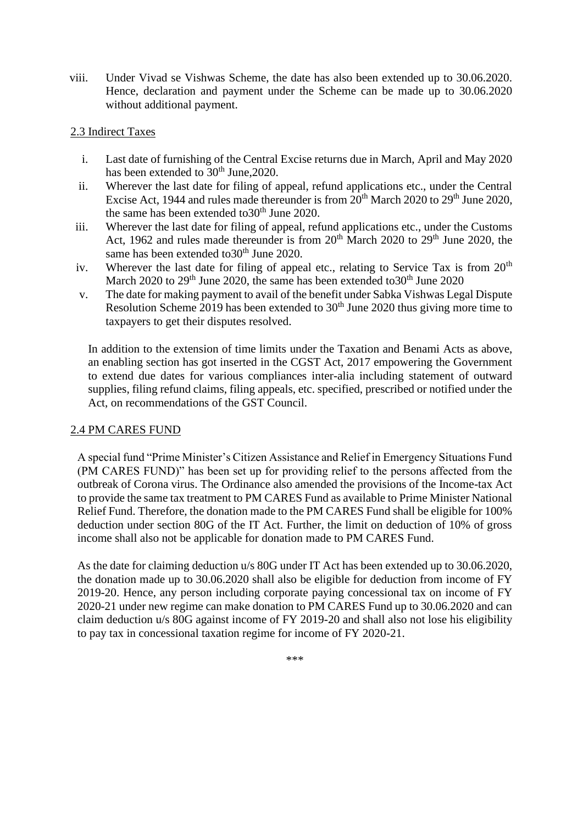viii. Under Vivad se Vishwas Scheme, the date has also been extended up to 30.06.2020. Hence, declaration and payment under the Scheme can be made up to 30.06.2020 without additional payment.

#### 2.3 Indirect Taxes

- i. Last date of furnishing of the Central Excise returns due in March, April and May 2020 has been extended to  $30<sup>th</sup>$  June, 2020.
- ii. Wherever the last date for filing of appeal, refund applications etc., under the Central Excise Act, 1944 and rules made thereunder is from  $20<sup>th</sup>$  March 2020 to  $29<sup>th</sup>$  June 2020, the same has been extended to  $30<sup>th</sup>$  June 2020.
- iii. Wherever the last date for filing of appeal, refund applications etc., under the Customs Act, 1962 and rules made thereunder is from  $20<sup>th</sup>$  March 2020 to  $29<sup>th</sup>$  June 2020, the same has been extended to  $30<sup>th</sup>$  June 2020.
- iv. Wherever the last date for filing of appeal etc., relating to Service Tax is from  $20<sup>th</sup>$ March 2020 to  $29<sup>th</sup>$  June 2020, the same has been extended to  $30<sup>th</sup>$  June 2020
- v. The date for making payment to avail of the benefit under Sabka Vishwas Legal Dispute Resolution Scheme 2019 has been extended to  $30<sup>th</sup>$  June 2020 thus giving more time to taxpayers to get their disputes resolved.

In addition to the extension of time limits under the Taxation and Benami Acts as above, an enabling section has got inserted in the CGST Act, 2017 empowering the Government to extend due dates for various compliances inter-alia including statement of outward supplies, filing refund claims, filing appeals, etc. specified, prescribed or notified under the Act, on recommendations of the GST Council.

#### 2.4 PM CARES FUND

A special fund "Prime Minister's Citizen Assistance and Relief in Emergency Situations Fund (PM CARES FUND)" has been set up for providing relief to the persons affected from the outbreak of Corona virus. The Ordinance also amended the provisions of the Income-tax Act to provide the same tax treatment to PM CARES Fund as available to Prime Minister National Relief Fund. Therefore, the donation made to the PM CARES Fund shall be eligible for 100% deduction under section 80G of the IT Act. Further, the limit on deduction of 10% of gross income shall also not be applicable for donation made to PM CARES Fund.

As the date for claiming deduction u/s 80G under IT Act has been extended up to 30.06.2020, the donation made up to 30.06.2020 shall also be eligible for deduction from income of FY 2019-20. Hence, any person including corporate paying concessional tax on income of FY 2020-21 under new regime can make donation to PM CARES Fund up to 30.06.2020 and can claim deduction u/s 80G against income of FY 2019-20 and shall also not lose his eligibility to pay tax in concessional taxation regime for income of FY 2020-21.

\*\*\*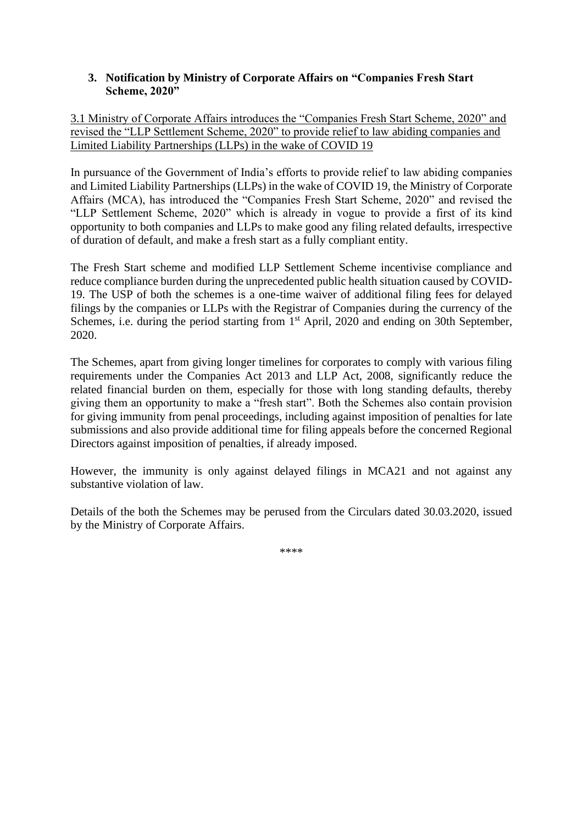#### <span id="page-5-0"></span>**3. Notification by Ministry of Corporate Affairs on "Companies Fresh Start Scheme, 2020"**

3.1 Ministry of Corporate Affairs introduces the "Companies Fresh Start Scheme, 2020" and revised the "LLP Settlement Scheme, 2020" to provide relief to law abiding companies and Limited Liability Partnerships (LLPs) in the wake of COVID 19

In pursuance of the Government of India's efforts to provide relief to law abiding companies and Limited Liability Partnerships (LLPs) in the wake of COVID 19, the Ministry of Corporate Affairs (MCA), has introduced the "Companies Fresh Start Scheme, 2020" and revised the "LLP Settlement Scheme, 2020" which is already in vogue to provide a first of its kind opportunity to both companies and LLPs to make good any filing related defaults, irrespective of duration of default, and make a fresh start as a fully compliant entity.

The Fresh Start scheme and modified LLP Settlement Scheme incentivise compliance and reduce compliance burden during the unprecedented public health situation caused by COVID-19. The USP of both the schemes is a one-time waiver of additional filing fees for delayed filings by the companies or LLPs with the Registrar of Companies during the currency of the Schemes, i.e. during the period starting from 1<sup>st</sup> April, 2020 and ending on 30th September, 2020.

The Schemes, apart from giving longer timelines for corporates to comply with various filing requirements under the Companies Act 2013 and LLP Act, 2008, significantly reduce the related financial burden on them, especially for those with long standing defaults, thereby giving them an opportunity to make a "fresh start". Both the Schemes also contain provision for giving immunity from penal proceedings, including against imposition of penalties for late submissions and also provide additional time for filing appeals before the concerned Regional Directors against imposition of penalties, if already imposed.

However, the immunity is only against delayed filings in MCA21 and not against any substantive violation of law.

Details of the both the Schemes may be perused from the Circulars dated 30.03.2020, issued by the Ministry of Corporate Affairs.

\*\*\*\*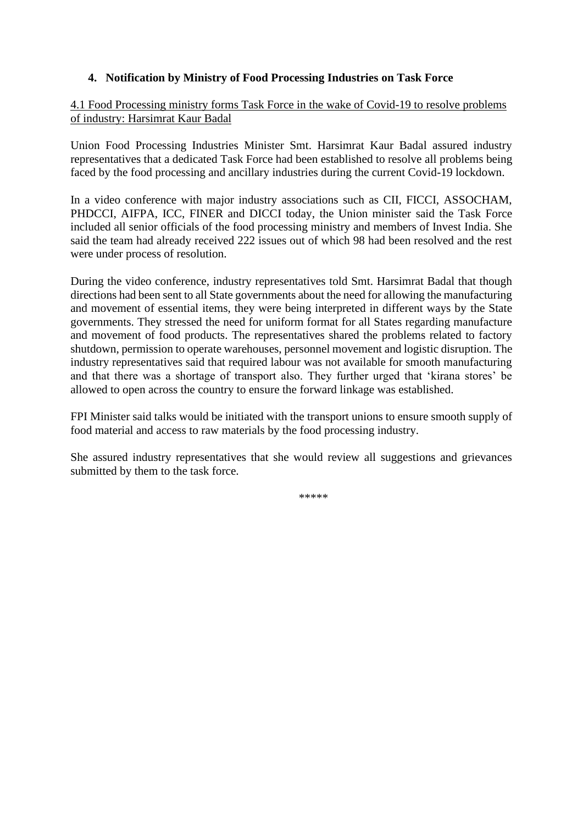#### <span id="page-6-0"></span>**4. Notification by Ministry of Food Processing Industries on Task Force**

4.1 Food Processing ministry forms Task Force in the wake of Covid-19 to resolve problems of industry: Harsimrat Kaur Badal

Union Food Processing Industries Minister Smt. Harsimrat Kaur Badal assured industry representatives that a dedicated Task Force had been established to resolve all problems being faced by the food processing and ancillary industries during the current Covid-19 lockdown.

In a video conference with major industry associations such as CII, FICCI, ASSOCHAM, PHDCCI, AIFPA, ICC, FINER and DICCI today, the Union minister said the Task Force included all senior officials of the food processing ministry and members of Invest India. She said the team had already received 222 issues out of which 98 had been resolved and the rest were under process of resolution.

During the video conference, industry representatives told Smt. Harsimrat Badal that though directions had been sent to all State governments about the need for allowing the manufacturing and movement of essential items, they were being interpreted in different ways by the State governments. They stressed the need for uniform format for all States regarding manufacture and movement of food products. The representatives shared the problems related to factory shutdown, permission to operate warehouses, personnel movement and logistic disruption. The industry representatives said that required labour was not available for smooth manufacturing and that there was a shortage of transport also. They further urged that 'kirana stores' be allowed to open across the country to ensure the forward linkage was established.

FPI Minister said talks would be initiated with the transport unions to ensure smooth supply of food material and access to raw materials by the food processing industry.

She assured industry representatives that she would review all suggestions and grievances submitted by them to the task force.

\*\*\*\*\*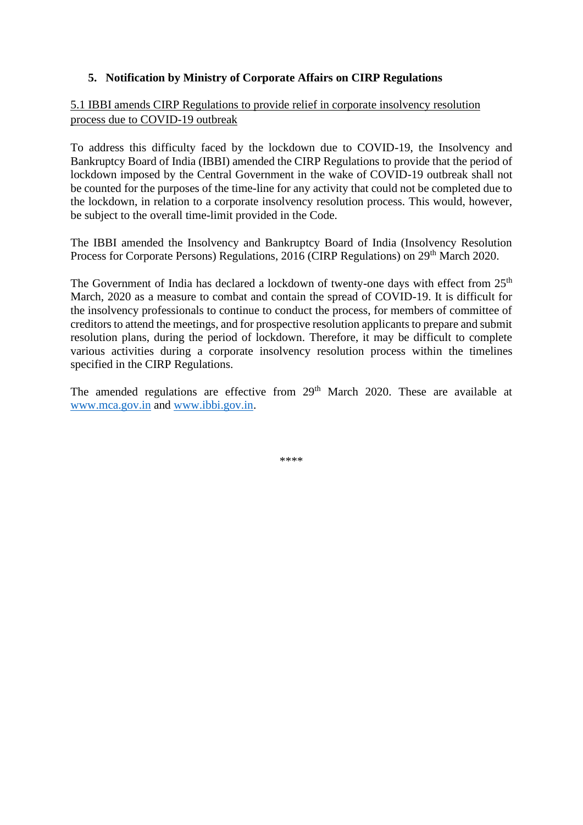#### <span id="page-7-0"></span>**5. Notification by Ministry of Corporate Affairs on CIRP Regulations**

#### 5.1 IBBI amends CIRP Regulations to provide relief in corporate insolvency resolution process due to COVID-19 outbreak

To address this difficulty faced by the lockdown due to COVID-19, the Insolvency and Bankruptcy Board of India (IBBI) amended the CIRP Regulations to provide that the period of lockdown imposed by the Central Government in the wake of COVID-19 outbreak shall not be counted for the purposes of the time-line for any activity that could not be completed due to the lockdown, in relation to a corporate insolvency resolution process. This would, however, be subject to the overall time-limit provided in the Code.

The IBBI amended the Insolvency and Bankruptcy Board of India (Insolvency Resolution Process for Corporate Persons) Regulations, 2016 (CIRP Regulations) on 29<sup>th</sup> March 2020.

The Government of India has declared a lockdown of twenty-one days with effect from 25<sup>th</sup> March, 2020 as a measure to combat and contain the spread of COVID-19. It is difficult for the insolvency professionals to continue to conduct the process, for members of committee of creditors to attend the meetings, and for prospective resolution applicants to prepare and submit resolution plans, during the period of lockdown. Therefore, it may be difficult to complete various activities during a corporate insolvency resolution process within the timelines specified in the CIRP Regulations.

The amended regulations are effective from  $29<sup>th</sup>$  March 2020. These are available at [www.mca.gov.in](http://www.mca.gov.in/) and [www.ibbi.gov.in.](http://www.ibbi.gov.in/)

\*\*\*\*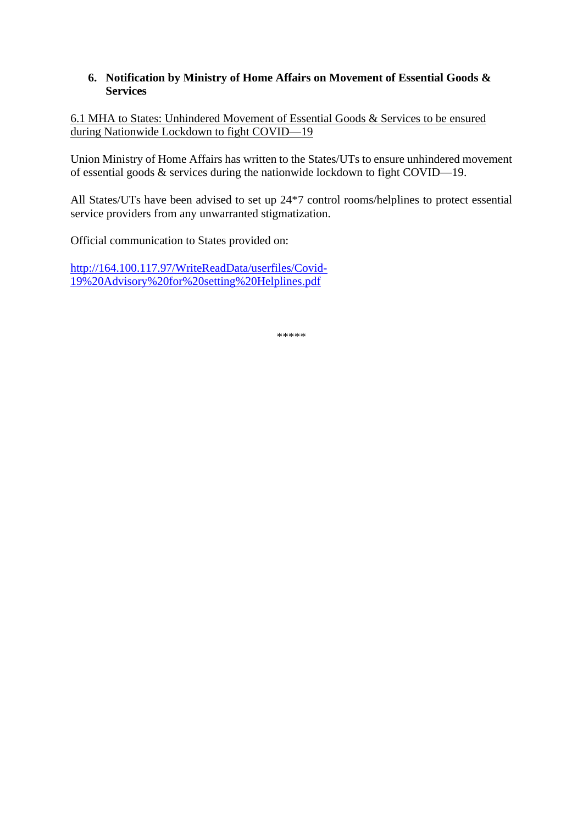#### <span id="page-8-0"></span>**6. Notification by Ministry of Home Affairs on Movement of Essential Goods & Services**

6.1 MHA to States: Unhindered Movement of Essential Goods & Services to be ensured during Nationwide Lockdown to fight COVID—19

Union Ministry of Home Affairs has written to the States/UTs to ensure unhindered movement of essential goods & services during the nationwide lockdown to fight COVID—19.

All States/UTs have been advised to set up 24\*7 control rooms/helplines to protect essential service providers from any unwarranted stigmatization.

Official communication to States provided on:

[http://164.100.117.97/WriteReadData/userfiles/Covid-](http://164.100.117.97/WriteReadData/userfiles/Covid-19%20Advisory%20for%20setting%20Helplines.pdf)[19%20Advisory%20for%20setting%20Helplines.pdf](http://164.100.117.97/WriteReadData/userfiles/Covid-19%20Advisory%20for%20setting%20Helplines.pdf)

\*\*\*\*\*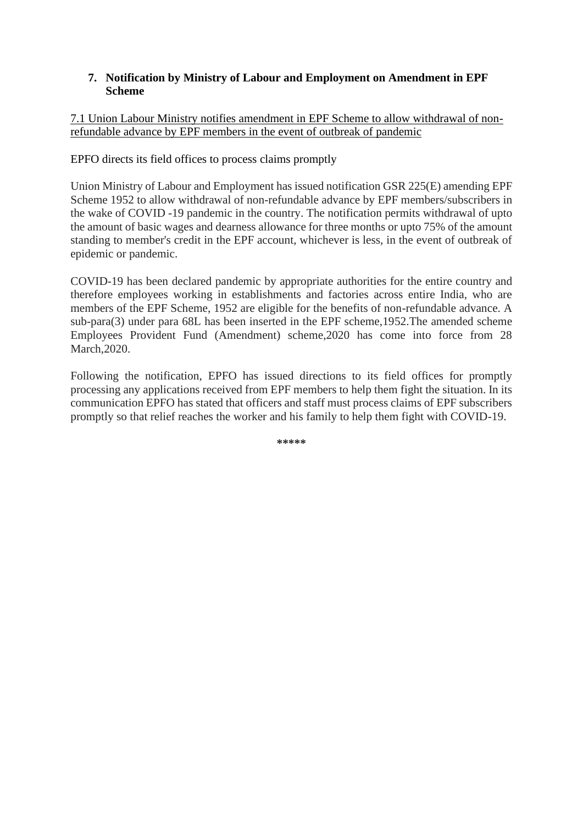#### <span id="page-9-0"></span>**7. Notification by Ministry of Labour and Employment on Amendment in EPF Scheme**

### 7.1 Union Labour Ministry notifies amendment in EPF Scheme to allow withdrawal of nonrefundable advance by EPF members in the event of outbreak of pandemic

### EPFO directs its field offices to process claims promptly

Union Ministry of Labour and Employment has issued notification GSR 225(E) amending EPF Scheme 1952 to allow withdrawal of non-refundable advance by EPF members/subscribers in the wake of COVID -19 pandemic in the country. The notification permits withdrawal of upto the amount of basic wages and dearness allowance for three months or upto 75% of the amount standing to member's credit in the EPF account, whichever is less, in the event of outbreak of epidemic or pandemic.

COVID-19 has been declared pandemic by appropriate authorities for the entire country and therefore employees working in establishments and factories across entire India, who are members of the EPF Scheme, 1952 are eligible for the benefits of non-refundable advance. A sub-para(3) under para 68L has been inserted in the EPF scheme,1952.The amended scheme Employees Provident Fund (Amendment) scheme,2020 has come into force from 28 March,2020.

Following the notification, EPFO has issued directions to its field offices for promptly processing any applications received from EPF members to help them fight the situation. In its communication EPFO has stated that officers and staff must process claims of EPF subscribers promptly so that relief reaches the worker and his family to help them fight with COVID-19.

**\*\*\*\*\***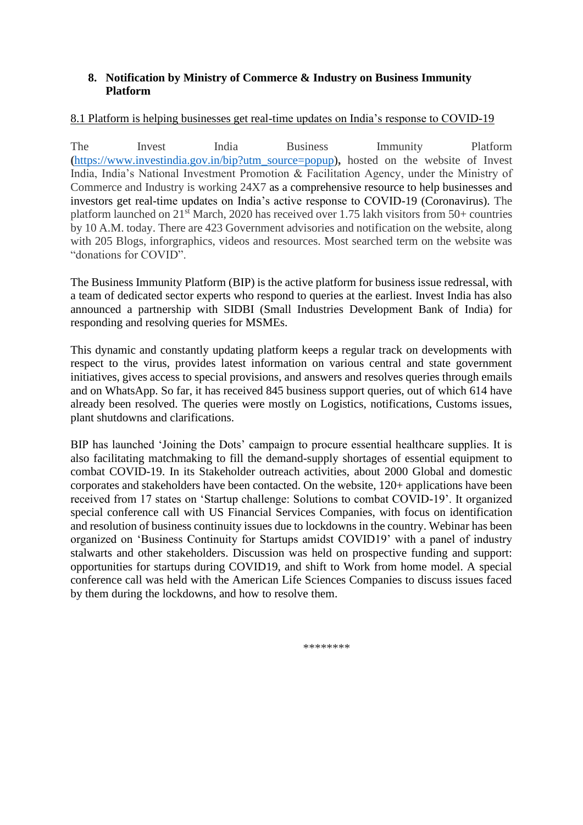#### <span id="page-10-0"></span>**8. Notification by Ministry of Commerce & Industry on Business Immunity Platform**

#### 8.1 Platform is helping businesses get real-time updates on India's response to COVID-19

The Invest India Business Immunity Platform **(**[https://www.investindia.gov.in/bip?utm\\_source=popup\)](https://www.investindia.gov.in/bip?utm_source=popup)**,** hosted on the website of Invest India, India's National Investment Promotion & Facilitation Agency, under the Ministry of Commerce and Industry is working 24X7 as a comprehensive resource to help businesses and investors get real-time updates on India's active response to COVID-19 (Coronavirus). The platform launched on  $21^{st}$  March, 2020 has received over 1.75 lakh visitors from 50+ countries by 10 A.M. today. There are 423 Government advisories and notification on the website, along with 205 Blogs, inforgraphics, videos and resources. Most searched term on the website was "donations for COVID".

The Business Immunity Platform (BIP) is the active platform for business issue redressal, with a team of dedicated sector experts who respond to queries at the earliest. Invest India has also announced a partnership with SIDBI (Small Industries Development Bank of India) for responding and resolving queries for MSMEs.

This dynamic and constantly updating platform keeps a regular track on developments with respect to the virus, provides latest information on various central and state government initiatives, gives access to special provisions, and answers and resolves queries through emails and on WhatsApp. So far, it has received 845 business support queries, out of which 614 have already been resolved. The queries were mostly on Logistics, notifications, Customs issues, plant shutdowns and clarifications.

BIP has launched 'Joining the Dots' campaign to procure essential healthcare supplies. It is also facilitating matchmaking to fill the demand-supply shortages of essential equipment to combat COVID-19. In its Stakeholder outreach activities, about 2000 Global and domestic corporates and stakeholders have been contacted. On the website, 120+ applications have been received from 17 states on 'Startup challenge: Solutions to combat COVID-19'. It organized special conference call with US Financial Services Companies, with focus on identification and resolution of business continuity issues due to lockdowns in the country. Webinar has been organized on 'Business Continuity for Startups amidst COVID19' with a panel of industry stalwarts and other stakeholders. Discussion was held on prospective funding and support: opportunities for startups during COVID19, and shift to Work from home model. A special conference call was held with the American Life Sciences Companies to discuss issues faced by them during the lockdowns, and how to resolve them.

\*\*\*\*\*\*\*\*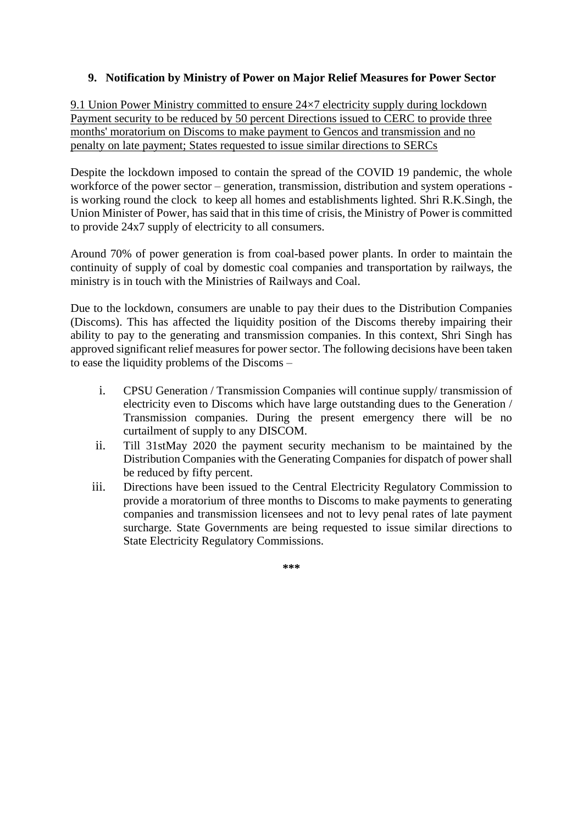#### <span id="page-11-0"></span>**9. Notification by Ministry of Power on Major Relief Measures for Power Sector**

9.1 Union Power Ministry committed to ensure 24×7 electricity supply during lockdown Payment security to be reduced by 50 percent Directions issued to CERC to provide three months' moratorium on Discoms to make payment to Gencos and transmission and no penalty on late payment; States requested to issue similar directions to SERCs

Despite the lockdown imposed to contain the spread of the COVID 19 pandemic, the whole workforce of the power sector – generation, transmission, distribution and system operations is working round the clock to keep all homes and establishments lighted. Shri R.K.Singh, the Union Minister of Power, has said that in this time of crisis, the Ministry of Power is committed to provide 24x7 supply of electricity to all consumers.

Around 70% of power generation is from coal-based power plants. In order to maintain the continuity of supply of coal by domestic coal companies and transportation by railways, the ministry is in touch with the Ministries of Railways and Coal.

Due to the lockdown, consumers are unable to pay their dues to the Distribution Companies (Discoms). This has affected the liquidity position of the Discoms thereby impairing their ability to pay to the generating and transmission companies. In this context, Shri Singh has approved significant relief measures for power sector. The following decisions have been taken to ease the liquidity problems of the Discoms –

- i. CPSU Generation / Transmission Companies will continue supply/ transmission of electricity even to Discoms which have large outstanding dues to the Generation / Transmission companies. During the present emergency there will be no curtailment of supply to any DISCOM.
- ii. Till 31stMay 2020 the payment security mechanism to be maintained by the Distribution Companies with the Generating Companies for dispatch of power shall be reduced by fifty percent.
- iii. Directions have been issued to the Central Electricity Regulatory Commission to provide a moratorium of three months to Discoms to make payments to generating companies and transmission licensees and not to levy penal rates of late payment surcharge. State Governments are being requested to issue similar directions to State Electricity Regulatory Commissions.

**\*\*\***